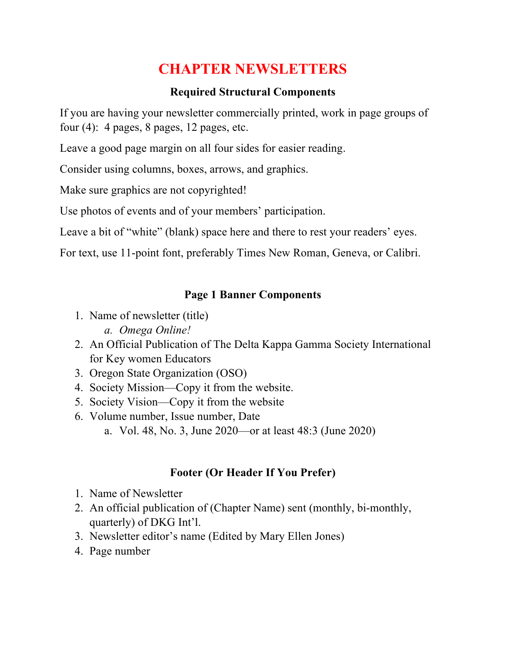# **CHAPTER NEWSLETTERS**

#### **Required Structural Components**

If you are having your newsletter commercially printed, work in page groups of four  $(4)$ : 4 pages, 8 pages, 12 pages, etc.

Leave a good page margin on all four sides for easier reading.

Consider using columns, boxes, arrows, and graphics.

Make sure graphics are not copyrighted!

Use photos of events and of your members' participation.

Leave a bit of "white" (blank) space here and there to rest your readers' eyes.

For text, use 11-point font, preferably Times New Roman, Geneva, or Calibri.

#### **Page 1 Banner Components**

- 1. Name of newsletter (title)
	- *a. Omega Online!*
- 2. An Official Publication of The Delta Kappa Gamma Society International for Key women Educators
- 3. Oregon State Organization (OSO)
- 4. Society Mission—Copy it from the website.
- 5. Society Vision—Copy it from the website
- 6. Volume number, Issue number, Date
	- a. Vol. 48, No. 3, June 2020—or at least 48:3 (June 2020)

# **Footer (Or Header If You Prefer)**

- 1. Name of Newsletter
- 2. An official publication of (Chapter Name) sent (monthly, bi-monthly, quarterly) of DKG Int'l.
- 3. Newsletter editor's name (Edited by Mary Ellen Jones)
- 4. Page number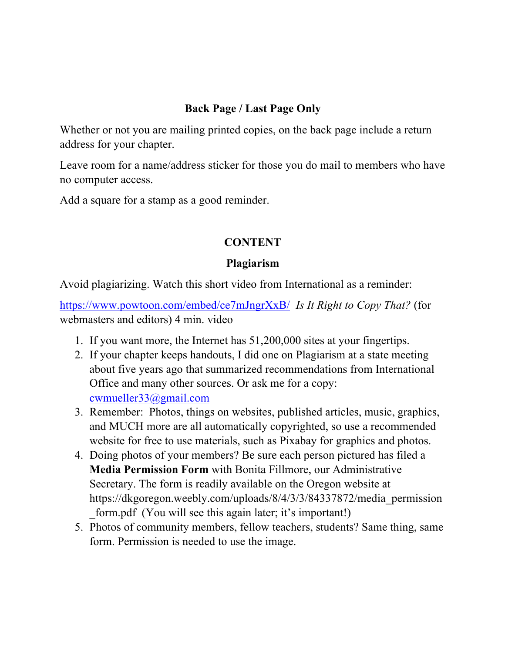#### **Back Page / Last Page Only**

Whether or not you are mailing printed copies, on the back page include a return address for your chapter.

Leave room for a name/address sticker for those you do mail to members who have no computer access.

Add a square for a stamp as a good reminder.

#### **CONTENT**

#### **Plagiarism**

Avoid plagiarizing. Watch this short video from International as a reminder:

https://www.powtoon.com/embed/ce7mJngrXxB/ *Is It Right to Copy That?* (for webmasters and editors) 4 min. video

- 1. If you want more, the Internet has 51,200,000 sites at your fingertips.
- 2. If your chapter keeps handouts, I did one on Plagiarism at a state meeting about five years ago that summarized recommendations from International Office and many other sources. Or ask me for a copy: cwmueller33@gmail.com
- 3. Remember: Photos, things on websites, published articles, music, graphics, and MUCH more are all automatically copyrighted, so use a recommended website for free to use materials, such as Pixabay for graphics and photos.
- 4. Doing photos of your members? Be sure each person pictured has filed a **Media Permission Form** with Bonita Fillmore, our Administrative Secretary. The form is readily available on the Oregon website at https://dkgoregon.weebly.com/uploads/8/4/3/3/84337872/media\_permission form.pdf (You will see this again later; it's important!)
- 5. Photos of community members, fellow teachers, students? Same thing, same form. Permission is needed to use the image.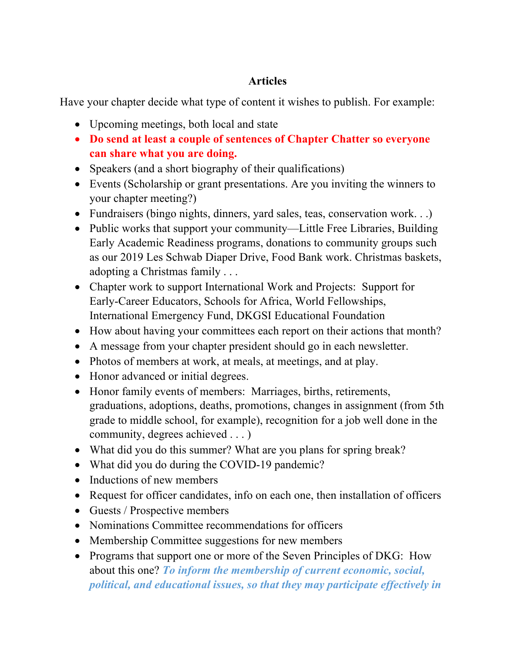## **Articles**

Have your chapter decide what type of content it wishes to publish. For example:

- Upcoming meetings, both local and state
- **Do send at least a couple of sentences of Chapter Chatter so everyone can share what you are doing.**
- Speakers (and a short biography of their qualifications)
- Events (Scholarship or grant presentations. Are you inviting the winners to your chapter meeting?)
- Fundraisers (bingo nights, dinners, yard sales, teas, conservation work...)
- Public works that support your community—Little Free Libraries, Building Early Academic Readiness programs, donations to community groups such as our 2019 Les Schwab Diaper Drive, Food Bank work. Christmas baskets, adopting a Christmas family . . .
- Chapter work to support International Work and Projects: Support for Early-Career Educators, Schools for Africa, World Fellowships, International Emergency Fund, DKGSI Educational Foundation
- How about having your committees each report on their actions that month?
- A message from your chapter president should go in each newsletter.
- Photos of members at work, at meals, at meetings, and at play.
- Honor advanced or initial degrees.
- Honor family events of members: Marriages, births, retirements, graduations, adoptions, deaths, promotions, changes in assignment (from 5th grade to middle school, for example), recognition for a job well done in the community, degrees achieved . . . )
- What did you do this summer? What are you plans for spring break?
- What did you do during the COVID-19 pandemic?
- Inductions of new members
- Request for officer candidates, info on each one, then installation of officers
- Guests / Prospective members
- Nominations Committee recommendations for officers
- Membership Committee suggestions for new members
- Programs that support one or more of the Seven Principles of DKG: How about this one? *To inform the membership of current economic, social, political, and educational issues, so that they may participate effectively in*